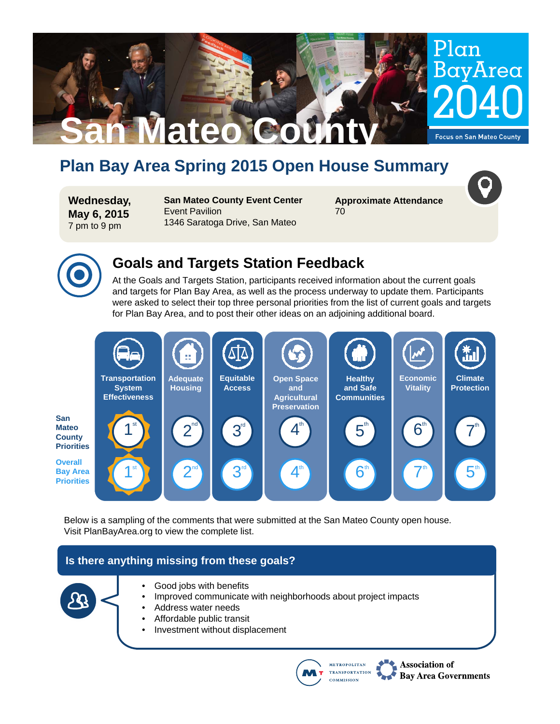# **Plan Bay Area Spring 2015 Open House Summary**

**Wednesday, May 6, 2015** 7 pm to 9 pm

**San Mateo County Event Center**  Event Pavilion 1346 Saratoga Drive, San Mateo

**San Mateo County** 

**Approximate Attendance** 70

Plan

BayArea

**Focus on San Mateo County** 



### **Goals and Targets Station Feedback**

At the Goals and Targets Station, participants received information about the current goals and targets for Plan Bay Area, as well as the process underway to update them. Participants were asked to select their top three personal priorities from the list of current goals and targets for Plan Bay Area, and to post their other ideas on an adjoining additional board.



Below is a sampling of the comments that were submitted at the San Mateo County open house. Visit PlanBayArea.org to view the complete list.

### **Is there anything missing from these goals?**



- Good jobs with benefits
- Improved communicate with neighborhoods about project impacts
- Address water needs
- Affordable public transit
- Investment without displacement



Association of **Bay Area Governments**